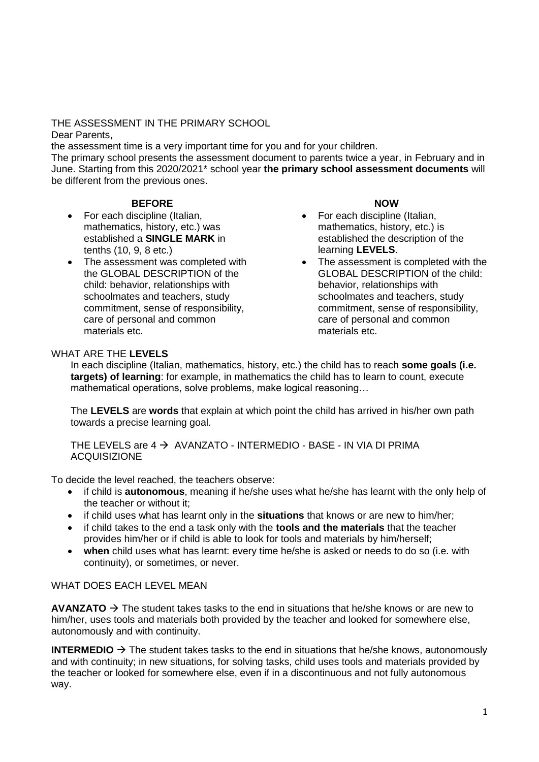# THE ASSESSMENT IN THE PRIMARY SCHOOL

Dear Parents,

the assessment time is a very important time for you and for your children.

The primary school presents the assessment document to parents twice a year, in February and in June. Starting from this 2020/2021\* school year **the primary school assessment documents** will be different from the previous ones.

### **BEFORE**

- For each discipline (Italian, mathematics, history, etc.) was established a **SINGLE MARK** in tenths (10, 9, 8 etc.)
- The assessment was completed with the GLOBAL DESCRIPTION of the child: behavior, relationships with schoolmates and teachers, study commitment, sense of responsibility, care of personal and common materials etc.

#### **NOW**

- For each discipline (Italian, mathematics, history, etc.) is established the description of the learning **LEVELS**.
- The assessment is completed with the GLOBAL DESCRIPTION of the child: behavior, relationships with schoolmates and teachers, study commitment, sense of responsibility, care of personal and common materials etc.

### WHAT ARF THE **LEVELS**

In each discipline (Italian, mathematics, history, etc.) the child has to reach **some goals (i.e. targets) of learning**: for example, in mathematics the child has to learn to count, execute mathematical operations, solve problems, make logical reasoning…

The **LEVELS** are **words** that explain at which point the child has arrived in his/her own path towards a precise learning goal.

THE LEVELS are  $4 \rightarrow$  AVANZATO - INTERMEDIO - BASE - IN VIA DI PRIMA ACQUISIZIONE

To decide the level reached, the teachers observe:

- if child is **autonomous**, meaning if he/she uses what he/she has learnt with the only help of the teacher or without it;
- if child uses what has learnt only in the **situations** that knows or are new to him/her;
- if child takes to the end a task only with the **tools and the materials** that the teacher provides him/her or if child is able to look for tools and materials by him/herself;
- **when** child uses what has learnt: every time he/she is asked or needs to do so (i.e. with continuity), or sometimes, or never.

# WHAT DOES FACH LEVEL MEAN

**AVANZATO**  $\rightarrow$  The student takes tasks to the end in situations that he/she knows or are new to him/her, uses tools and materials both provided by the teacher and looked for somewhere else, autonomously and with continuity.

**INTERMEDIO**  $\rightarrow$  The student takes tasks to the end in situations that he/she knows, autonomously and with continuity; in new situations, for solving tasks, child uses tools and materials provided by the teacher or looked for somewhere else, even if in a discontinuous and not fully autonomous way.